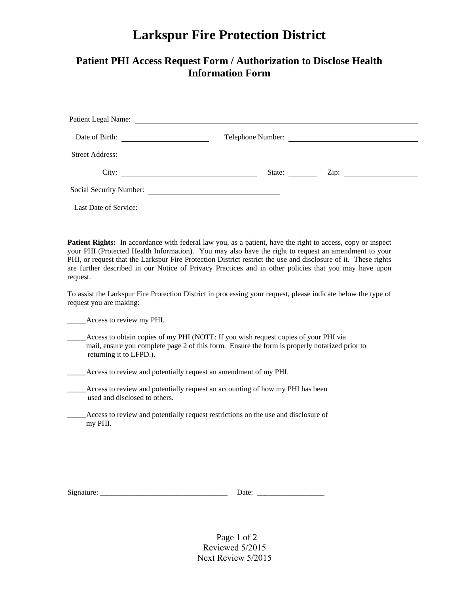## **Larkspur Fire Protection District**

## **Patient PHI Access Request Form / Authorization to Disclose Health Information Form**

|                       |                                                           | Patient Legal Name:     |        |  |  |
|-----------------------|-----------------------------------------------------------|-------------------------|--------|--|--|
| Date of Birth:        | <u> 1989 - Andrea Station Books, amerikansk politik (</u> | Telephone Number:       |        |  |  |
|                       |                                                           | Street Address:         |        |  |  |
|                       | City: $\qquad \qquad \qquad$                              |                         | State: |  |  |
|                       |                                                           | Social Security Number: |        |  |  |
| Last Date of Service: |                                                           |                         |        |  |  |

**Patient Rights:** In accordance with federal law you, as a patient, have the right to access, copy or inspect your PHI (Protected Health Information). You may also have the right to request an amendment to your PHI, or request that the Larkspur Fire Protection District restrict the use and disclosure of it. These rights are further described in our Notice of Privacy Practices and in other policies that you may have upon request.

To assist the Larkspur Fire Protection District in processing your request, please indicate below the type of request you are making:

\_\_\_\_\_Access to review my PHI.

\_\_\_\_\_Access to obtain copies of my PHI (NOTE: If you wish request copies of your PHI via mail, ensure you complete page 2 of this form. Ensure the form is properly notarized prior to returning it to LFPD.).

\_\_\_\_\_Access to review and potentially request an amendment of my PHI.

- \_\_\_\_\_Access to review and potentially request an accounting of how my PHI has been used and disclosed to others.
- \_\_\_\_\_Access to review and potentially request restrictions on the use and disclosure of my PHI.

| r.<br>S12 n<br>ти | . |
|-------------------|---|
|-------------------|---|

Page 1 of 2 Reviewed 5/2015 Next Review 5/2015